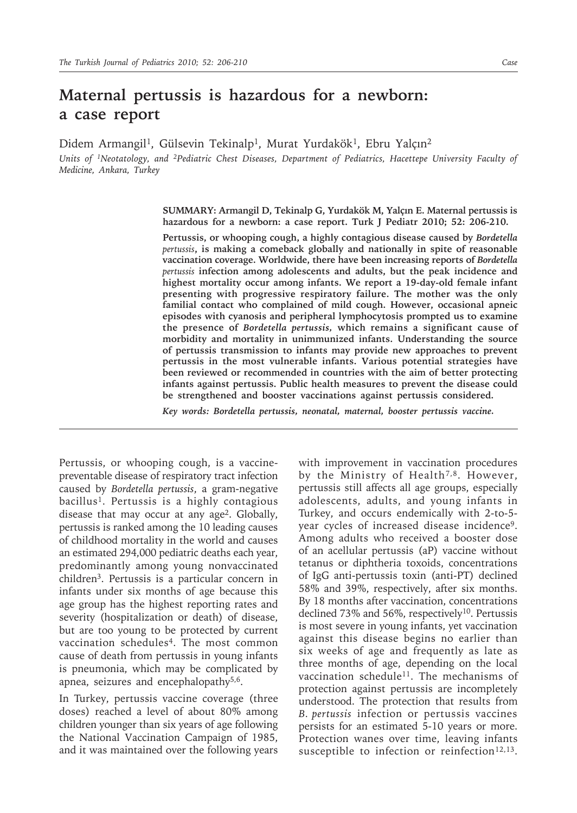## **Maternal pertussis is hazardous for a newborn: a case report**

Didem Armangil<sup>1</sup>, Gülsevin Tekinalp<sup>1</sup>, Murat Yurdakök<sup>1</sup>, Ebru Yalçın<sup>2</sup>

*Units of 1Neotatology, and 2Pediatric Chest Diseases, Department of Pediatrics, Hacettepe University Faculty of Medicine, Ankara, Turkey*

> **SUMMARY: Armangil D, Tekinalp G, Yurdakök M, Yalçın E. Maternal pertussis is hazardous for a newborn: a case report. Turk J Pediatr 2010; 52: 206-210.**

> **Pertussis, or whooping cough, a highly contagious disease caused by** *Bordetella pertussis***, is making a comeback globally and nationally in spite of reasonable vaccination coverage. Worldwide, there have been increasing reports of** *Bordetella pertussis* **infection among adolescents and adults, but the peak incidence and highest mortality occur among infants. We report a 19-day-old female infant presenting with progressive respiratory failure. The mother was the only familial contact who complained of mild cough. However, occasional apneic episodes with cyanosis and peripheral lymphocytosis prompted us to examine the presence of** *Bordetella pertussis,* **which remains a significant cause of morbidity and mortality in unimmunized infants. Understanding the source of pertussis transmission to infants may provide new approaches to prevent pertussis in the most vulnerable infants. Various potential strategies have been reviewed or recommended in countries with the aim of better protecting infants against pertussis. Public health measures to prevent the disease could be strengthened and booster vaccinations against pertussis considered.**

*Key words: Bordetella pertussis, neonatal, maternal, booster pertussis vaccine.*

Pertussis, or whooping cough, is a vaccinepreventable disease of respiratory tract infection caused by *Bordetella pertussis*, a gram-negative bacillus1. Pertussis is a highly contagious disease that may occur at any age2. Globally, pertussis is ranked among the 10 leading causes of childhood mortality in the world and causes an estimated 294,000 pediatric deaths each year, predominantly among young nonvaccinated children3. Pertussis is a particular concern in infants under six months of age because this age group has the highest reporting rates and severity (hospitalization or death) of disease, but are too young to be protected by current vaccination schedules<sup>4</sup>. The most common cause of death from pertussis in young infants is pneumonia, which may be complicated by apnea, seizures and encephalopathy5,6.

In Turkey, pertussis vaccine coverage (three doses) reached a level of about 80% among children younger than six years of age following the National Vaccination Campaign of 1985, and it was maintained over the following years

with improvement in vaccination procedures by the Ministry of Health<sup>7,8</sup>. However, pertussis still affects all age groups, especially adolescents, adults, and young infants in Turkey, and occurs endemically with 2-to-5 year cycles of increased disease incidence9. Among adults who received a booster dose of an acellular pertussis (aP) vaccine without tetanus or diphtheria toxoids, concentrations of IgG anti-pertussis toxin (anti-PT) declined 58% and 39%, respectively, after six months. By 18 months after vaccination, concentrations declined 73% and 56%, respectively<sup>10</sup>. Pertussis is most severe in young infants, yet vaccination against this disease begins no earlier than six weeks of age and frequently as late as three months of age, depending on the local vaccination schedule<sup>11</sup>. The mechanisms of protection against pertussis are incompletely understood. The protection that results from *B. pertussis* infection or pertussis vaccines persists for an estimated 5-10 years or more. Protection wanes over time, leaving infants susceptible to infection or reinfection<sup>12,13</sup>.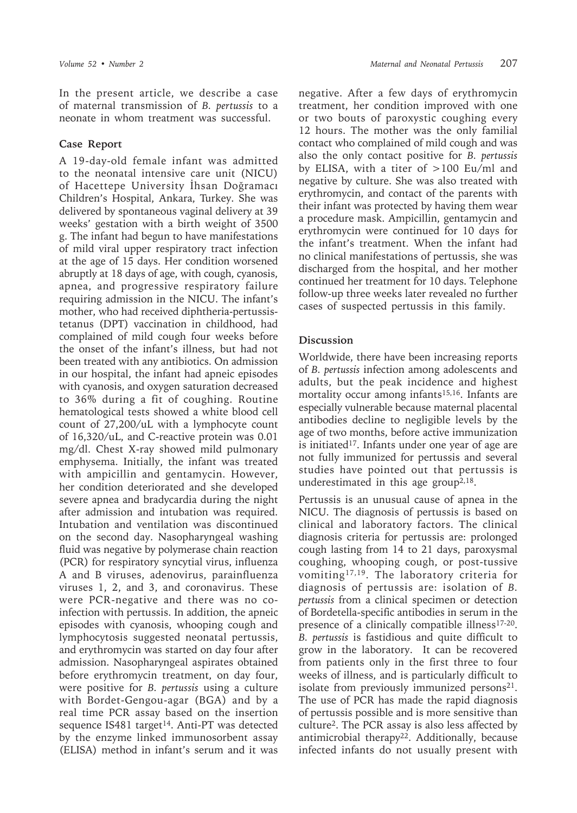In the present article, we describe a case of maternal transmission of *B. pertussis* to a neonate in whom treatment was successful.

## **Case Report**

A 19-day-old female infant was admitted to the neonatal intensive care unit (NICU) of Hacettepe University İhsan Doğramacı Children's Hospital, Ankara, Turkey. She was delivered by spontaneous vaginal delivery at 39 weeks' gestation with a birth weight of 3500 g. The infant had begun to have manifestations of mild viral upper respiratory tract infection at the age of 15 days. Her condition worsened abruptly at 18 days of age, with cough, cyanosis, apnea, and progressive respiratory failure requiring admission in the NICU. The infant's mother, who had received diphtheria-pertussistetanus (DPT) vaccination in childhood, had complained of mild cough four weeks before the onset of the infant's illness, but had not been treated with any antibiotics. On admission in our hospital, the infant had apneic episodes with cyanosis, and oxygen saturation decreased to 36% during a fit of coughing. Routine hematological tests showed a white blood cell count of 27,200/uL with a lymphocyte count of 16,320/uL, and C-reactive protein was 0.01 mg/dl. Chest X-ray showed mild pulmonary emphysema. Initially, the infant was treated with ampicillin and gentamycin. However, her condition deteriorated and she developed severe apnea and bradycardia during the night after admission and intubation was required. Intubation and ventilation was discontinued on the second day. Nasopharyngeal washing fluid was negative by polymerase chain reaction (PCR) for respiratory syncytial virus, influenza A and B viruses, adenovirus, parainfluenza viruses 1, 2, and 3, and coronavirus. These were PCR-negative and there was no coinfection with pertussis. In addition, the apneic episodes with cyanosis, whooping cough and lymphocytosis suggested neonatal pertussis, and erythromycin was started on day four after admission. Nasopharyngeal aspirates obtained before erythromycin treatment, on day four, were positive for *B. pertussis* using a culture with Bordet-Gengou-agar (BGA) and by a real time PCR assay based on the insertion sequence IS481 target<sup>14</sup>. Anti-PT was detected by the enzyme linked immunosorbent assay (ELISA) method in infant's serum and it was

negative. After a few days of erythromycin treatment, her condition improved with one or two bouts of paroxystic coughing every 12 hours. The mother was the only familial contact who complained of mild cough and was also the only contact positive for *B. pertussis*  by ELISA, with a titer of >100 Eu/ml and negative by culture. She was also treated with erythromycin, and contact of the parents with their infant was protected by having them wear a procedure mask. Ampicillin, gentamycin and erythromycin were continued for 10 days for the infant's treatment. When the infant had no clinical manifestations of pertussis, she was discharged from the hospital, and her mother continued her treatment for 10 days. Telephone follow-up three weeks later revealed no further cases of suspected pertussis in this family.

## **Discussion**

Worldwide, there have been increasing reports of *B. pertussis* infection among adolescents and adults, but the peak incidence and highest mortality occur among infants<sup>15,16</sup>. Infants are especially vulnerable because maternal placental antibodies decline to negligible levels by the age of two months, before active immunization is initiated<sup>17</sup>. Infants under one year of age are not fully immunized for pertussis and several studies have pointed out that pertussis is underestimated in this age group<sup>2,18</sup>.

Pertussis is an unusual cause of apnea in the NICU. The diagnosis of pertussis is based on clinical and laboratory factors. The clinical diagnosis criteria for pertussis are: prolonged cough lasting from 14 to 21 days, paroxysmal coughing, whooping cough, or post-tussive vomiting17,19. The laboratory criteria for diagnosis of pertussis are: isolation of *B. pertussis* from a clinical specimen or detection of Bordetella-specific antibodies in serum in the presence of a clinically compatible illness<sup>17-20</sup>. *B. pertussis* is fastidious and quite difficult to grow in the laboratory. It can be recovered from patients only in the first three to four weeks of illness, and is particularly difficult to isolate from previously immunized persons<sup>21</sup>. The use of PCR has made the rapid diagnosis of pertussis possible and is more sensitive than culture2. The PCR assay is also less affected by antimicrobial therapy<sup>22</sup>. Additionally, because infected infants do not usually present with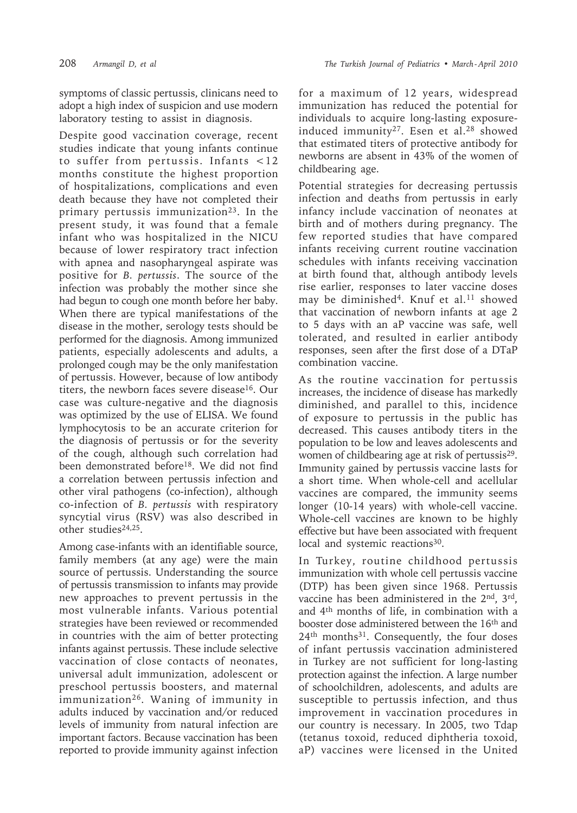symptoms of classic pertussis, clinicans need to adopt a high index of suspicion and use modern laboratory testing to assist in diagnosis.

Despite good vaccination coverage, recent studies indicate that young infants continue to suffer from pertussis. Infants <12 months constitute the highest proportion of hospitalizations, complications and even death because they have not completed their primary pertussis immunization<sup>23</sup>. In the present study, it was found that a female infant who was hospitalized in the NICU because of lower respiratory tract infection with apnea and nasopharyngeal aspirate was positive for *B. pertussis*. The source of the infection was probably the mother since she had begun to cough one month before her baby. When there are typical manifestations of the disease in the mother, serology tests should be performed for the diagnosis. Among immunized patients, especially adolescents and adults, a prolonged cough may be the only manifestation of pertussis. However, because of low antibody titers, the newborn faces severe disease<sup>16</sup>. Our case was culture-negative and the diagnosis was optimized by the use of ELISA. We found lymphocytosis to be an accurate criterion for the diagnosis of pertussis or for the severity of the cough, although such correlation had been demonstrated before<sup>18</sup>. We did not find a correlation between pertussis infection and other viral pathogens (co-infection), although co-infection of *B. pertussis* with respiratory syncytial virus (RSV) was also described in other studies24,25.

Among case-infants with an identifiable source, family members (at any age) were the main source of pertussis. Understanding the source of pertussis transmission to infants may provide new approaches to prevent pertussis in the most vulnerable infants. Various potential strategies have been reviewed or recommended in countries with the aim of better protecting infants against pertussis. These include selective vaccination of close contacts of neonates, universal adult immunization, adolescent or preschool pertussis boosters, and maternal immunization26. Waning of immunity in adults induced by vaccination and/or reduced levels of immunity from natural infection are important factors. Because vaccination has been reported to provide immunity against infection

for a maximum of 12 years, widespread immunization has reduced the potential for individuals to acquire long-lasting exposureinduced immunity<sup>27</sup>. Esen et al.<sup>28</sup> showed that estimated titers of protective antibody for newborns are absent in 43% of the women of childbearing age.

Potential strategies for decreasing pertussis infection and deaths from pertussis in early infancy include vaccination of neonates at birth and of mothers during pregnancy. The few reported studies that have compared infants receiving current routine vaccination schedules with infants receiving vaccination at birth found that, although antibody levels rise earlier, responses to later vaccine doses may be diminished<sup>4</sup>. Knuf et al.<sup>11</sup> showed that vaccination of newborn infants at age 2 to 5 days with an aP vaccine was safe, well tolerated, and resulted in earlier antibody responses, seen after the first dose of a DTaP combination vaccine.

As the routine vaccination for pertussis increases, the incidence of disease has markedly diminished, and parallel to this, incidence of exposure to pertussis in the public has decreased. This causes antibody titers in the population to be low and leaves adolescents and women of childbearing age at risk of pertussis<sup>29</sup>. Immunity gained by pertussis vaccine lasts for a short time. When whole-cell and acellular vaccines are compared, the immunity seems longer (10-14 years) with whole-cell vaccine. Whole-cell vaccines are known to be highly effective but have been associated with frequent local and systemic reactions<sup>30</sup>.

In Turkey, routine childhood pertussis immunization with whole cell pertussis vaccine (DTP) has been given since 1968. Pertussis vaccine has been administered in the 2nd, 3rd, and 4th months of life, in combination with a booster dose administered between the 16th and 24th months31. Consequently, the four doses of infant pertussis vaccination administered in Turkey are not sufficient for long-lasting protection against the infection. A large number of schoolchildren, adolescents, and adults are susceptible to pertussis infection, and thus improvement in vaccination procedures in our country is necessary. In 2005, two Tdap (tetanus toxoid, reduced diphtheria toxoid, aP) vaccines were licensed in the United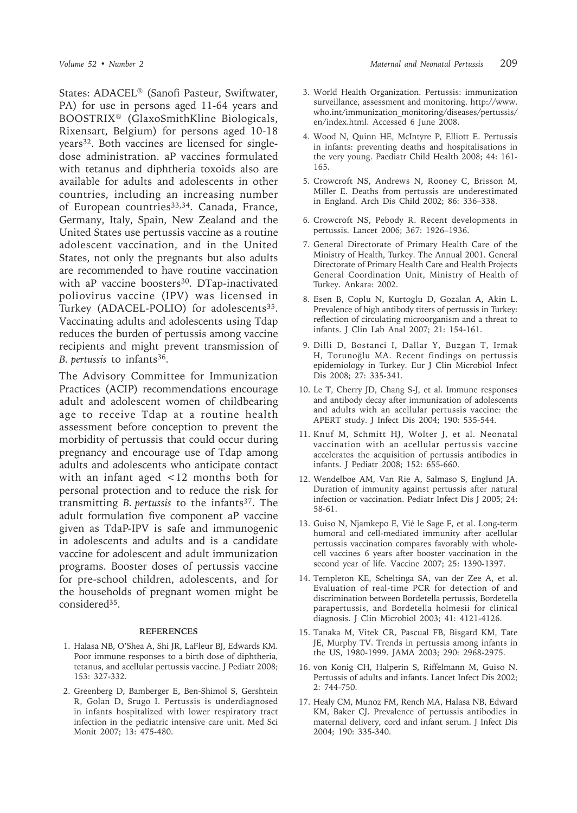States: ADACEL® (Sanofi Pasteur, Swiftwater, PA) for use in persons aged 11-64 years and BOOSTRIX® (GlaxoSmithKline Biologicals, Rixensart, Belgium) for persons aged 10-18 years32. Both vaccines are licensed for singledose administration. aP vaccines formulated with tetanus and diphtheria toxoids also are available for adults and adolescents in other countries, including an increasing number of European countries<sup>33,34</sup>. Canada, France, Germany, Italy, Spain, New Zealand and the United States use pertussis vaccine as a routine adolescent vaccination, and in the United States, not only the pregnants but also adults are recommended to have routine vaccination with aP vaccine boosters<sup>30</sup>. DTap-inactivated poliovirus vaccine (IPV) was licensed in Turkey (ADACEL-POLIO) for adolescents<sup>35</sup>. Vaccinating adults and adolescents using Tdap reduces the burden of pertussis among vaccine recipients and might prevent transmission of *B. pertussis* to infants36.

The Advisory Committee for Immunization Practices (ACIP) recommendations encourage adult and adolescent women of childbearing age to receive Tdap at a routine health assessment before conception to prevent the morbidity of pertussis that could occur during pregnancy and encourage use of Tdap among adults and adolescents who anticipate contact with an infant aged <12 months both for personal protection and to reduce the risk for transmitting *B. pertussis* to the infants37. The adult formulation five component aP vaccine given as TdaP-IPV is safe and immunogenic in adolescents and adults and is a candidate vaccine for adolescent and adult immunization programs. Booster doses of pertussis vaccine for pre-school children, adolescents, and for the households of pregnant women might be considered35.

## **REFERENCES**

- 1. Halasa NB, O'Shea A, Shi JR, LaFleur BJ, Edwards KM. Poor immune responses to a birth dose of diphtheria, tetanus, and acellular pertussis vaccine. J Pediatr 2008; 153: 327-332.
- 2. Greenberg D, Bamberger E, Ben-Shimol S, Gershtein R, Golan D, Srugo I. Pertussis is underdiagnosed in infants hospitalized with lower respiratory tract infection in the pediatric intensive care unit. Med Sci Monit 2007; 13: 475-480.
- 3. World Health Organization. Pertussis: immunization surveillance, assessment and monitoring. http://www. who.int/immunization\_monitoring/diseases/pertussis/ en/index.html. Accessed 6 June 2008.
- 4. Wood N, Quinn HE, McIntyre P, Elliott E. Pertussis in infants: preventing deaths and hospitalisations in the very young. Paediatr Child Health 2008; 44: 161- 165.
- 5. Crowcroft NS, Andrews N, Rooney C, Brisson M, Miller E. Deaths from pertussis are underestimated in England. Arch Dis Child 2002; 86: 336–338.
- 6. Crowcroft NS, Pebody R. Recent developments in pertussis. Lancet 2006; 367: 1926–1936.
- 7. General Directorate of Primary Health Care of the Ministry of Health, Turkey. The Annual 2001. General Directorate of Primary Health Care and Health Projects General Coordination Unit, Ministry of Health of Turkey. Ankara: 2002.
- 8. Esen B, Coplu N, Kurtoglu D, Gozalan A, Akin L. Prevalence of high antibody titers of pertussis in Turkey: reflection of circulating microorganism and a threat to infants. J Clin Lab Anal 2007; 21: 154-161.
- 9. Dilli D, Bostanci I, Dallar Y, Buzgan T, Irmak H, Torunoğlu MA. Recent findings on pertussis epidemiology in Turkey. Eur J Clin Microbiol Infect Dis 2008; 27: 335-341.
- 10. Le T, Cherry JD, Chang S-J, et al. Immune responses and antibody decay after immunization of adolescents and adults with an acellular pertussis vaccine: the APERT study. J Infect Dis 2004; 190: 535-544.
- 11. Knuf M, Schmitt HJ, Wolter J, et al. Neonatal vaccination with an acellular pertussis vaccine accelerates the acquisition of pertussis antibodies in infants. J Pediatr 2008; 152: 655-660.
- 12. Wendelboe AM, Van Rie A, Salmaso S, Englund JA. Duration of immunity against pertussis after natural infection or vaccination. Pediatr Infect Dis J 2005; 24: 58-61.
- 13. Guiso N, Njamkepo E, Vié le Sage F, et al. Long-term humoral and cell-mediated immunity after acellular pertussis vaccination compares favorably with wholecell vaccines 6 years after booster vaccination in the second year of life. Vaccine 2007; 25: 1390-1397.
- 14. Templeton KE, Scheltinga SA, van der Zee A, et al. Evaluation of real-time PCR for detection of and discrimination between Bordetella pertussis, Bordetella parapertussis, and Bordetella holmesii for clinical diagnosis. J Clin Microbiol 2003; 41: 4121-4126.
- 15. Tanaka M, Vitek CR, Pascual FB, Bisgard KM, Tate JE, Murphy TV. Trends in pertussis among infants in the US, 1980-1999. JAMA 2003; 290: 2968-2975.
- 16. von Konig CH, Halperin S, Riffelmann M, Guiso N. Pertussis of adults and infants. Lancet Infect Dis 2002; 2: 744-750.
- 17. Healy CM, Munoz FM, Rench MA, Halasa NB, Edward KM, Baker CJ. Prevalence of pertussis antibodies in maternal delivery, cord and infant serum. J Infect Dis 2004; 190: 335-340.